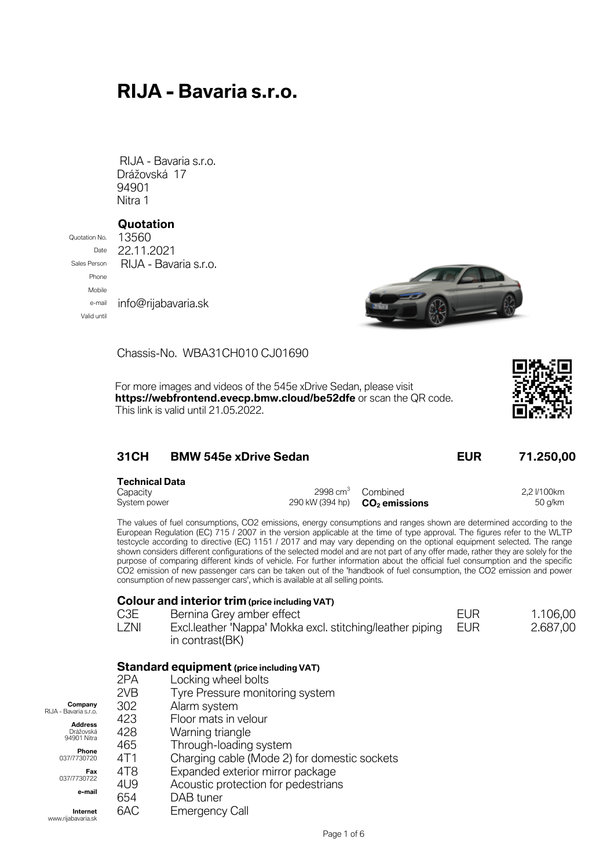# **RIJA - Bavaria s.r.o.**

RIJA - Bavaria s.r.o. Drážovská 17 94901 Nitra 1

#### **Quotation**

Phone Mobile Valid until

Quotation No. 13560 Date 22.11.2021 Sales Person RIJA - Bavaria s.r.o. e-mail info@rijabavaria.sk



**CO<sup>2</sup> emissions** 50 g/km

Chassis-No. WBA31CH010 CJ01690

For more images and videos of the 545e xDrive Sedan, please visit **https://webfrontend.evecp.bmw.cloud/be52dfe** or scan the QR code. This link is valid until 21.05.2022.



| <b>31CH</b><br><b>BMW 545e xDrive Sedan</b> |  |  | <b>EUR</b>                    | 71.250,00 |             |
|---------------------------------------------|--|--|-------------------------------|-----------|-------------|
| <b>Technical Data</b><br>Capacity           |  |  | 2998 cm <sup>3</sup> Combined |           | 2.2 l/100km |

The values of fuel consumptions, CO2 emissions, energy consumptions and ranges shown are determined according to the European Regulation (EC) 715 / 2007 in the version applicable at the time of type approval. The figures refer to the WLTP testcycle according to directive (EC) 1151 / 2017 and may vary depending on the optional equipment selected. The range shown considers different configurations of the selected model and are not part of any offer made, rather they are solely for the purpose of comparing different kinds of vehicle. For further information about the official fuel consumption and the specific CO2 emission of new passenger cars can be taken out of the 'handbook of fuel consumption, the CO2 emission and power consumption of new passenger cars', which is available at all selling points.

#### **Colour and interior trim(price including VAT)**

System power 290 kW (394 hp)

- C3E Bernina Grey amber effect EUR EUR 1.106,00
- LZNI Excl.leather 'Nappa' Mokka excl. stitching/leather piping in contrast(BK) EUR 2.687,00

#### **Standard equipment (price including VAT)**

|                                  | 2PA | Locking wheel bolts                          |  |
|----------------------------------|-----|----------------------------------------------|--|
|                                  | 2VB | Tyre Pressure monitoring system              |  |
| Company<br>RIJA - Bavaria s.r.o. | 302 | Alarm system                                 |  |
| <b>Address</b>                   | 423 | Floor mats in velour                         |  |
| Drážovská<br>94901 Nitra         | 428 | Warning triangle                             |  |
|                                  | 465 | Through-loading system                       |  |
| Phone<br>037/7730720             | 4T1 | Charging cable (Mode 2) for domestic sockets |  |
| Fax                              | 4T8 | Expanded exterior mirror package             |  |
| 037/7730722                      | 4U9 | Acoustic protection for pedestrians          |  |
| e-mail                           | 654 | DAB tuner                                    |  |
| Internet<br>www.rijabavaria.sk   | 6AC | <b>Emergency Call</b>                        |  |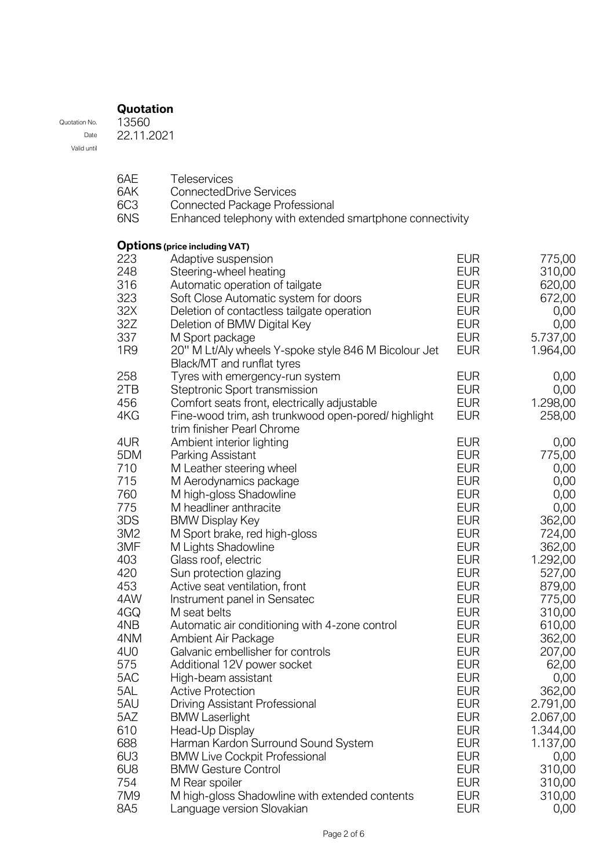### **Quotation**

Quotation No. Date Valid until 13560 22.11.2021

| 6AE             | Teleservices                                             |            |          |
|-----------------|----------------------------------------------------------|------------|----------|
| 6AK             | <b>ConnectedDrive Services</b>                           |            |          |
| 6C <sub>3</sub> | <b>Connected Package Professional</b>                    |            |          |
| 6NS             | Enhanced telephony with extended smartphone connectivity |            |          |
|                 |                                                          |            |          |
|                 | <b>Options</b> (price including VAT)                     |            |          |
| 223             | Adaptive suspension                                      | <b>EUR</b> | 775,00   |
| 248             | Steering-wheel heating                                   | <b>EUR</b> | 310,00   |
| 316             | Automatic operation of tailgate                          | <b>EUR</b> | 620,00   |
| 323             | Soft Close Automatic system for doors                    | <b>EUR</b> | 672,00   |
| 32X             | Deletion of contactless tailgate operation               | <b>EUR</b> | 0,00     |
| 32Z             | Deletion of BMW Digital Key                              | <b>EUR</b> | 0,00     |
| 337             | M Sport package                                          | <b>EUR</b> | 5.737,00 |
| 1 <sub>R9</sub> | 20" M Lt/Aly wheels Y-spoke style 846 M Bicolour Jet     | <b>EUR</b> | 1.964,00 |
|                 | Black/MT and runflat tyres                               |            |          |
| 258             | Tyres with emergency-run system                          | <b>EUR</b> | 0,00     |
| 2TB             | Steptronic Sport transmission                            | <b>EUR</b> | 0,00     |
| 456             | Comfort seats front, electrically adjustable             | <b>EUR</b> | 1.298,00 |
| 4KG             | Fine-wood trim, ash trunkwood open-pored/ highlight      | <b>EUR</b> | 258,00   |
|                 | trim finisher Pearl Chrome                               |            |          |
| 4UR             | Ambient interior lighting                                | <b>EUR</b> | 0,00     |
| 5DM             | Parking Assistant                                        | <b>EUR</b> | 775,00   |
| 710             | M Leather steering wheel                                 | <b>EUR</b> | 0,00     |
| 715             | M Aerodynamics package                                   | <b>EUR</b> | 0,00     |
| 760             | M high-gloss Shadowline                                  | <b>EUR</b> | 0,00     |
| 775             | M headliner anthracite                                   | <b>EUR</b> | 0,00     |
| 3DS             | <b>BMW Display Key</b>                                   | <b>EUR</b> | 362,00   |
| 3M2             | M Sport brake, red high-gloss                            | <b>EUR</b> | 724,00   |
| 3MF             | M Lights Shadowline                                      | <b>EUR</b> | 362,00   |
| 403             | Glass roof, electric                                     | <b>EUR</b> | 1.292,00 |
| 420             | Sun protection glazing                                   | <b>EUR</b> | 527,00   |
| 453             | Active seat ventilation, front                           | <b>EUR</b> | 879,00   |
| 4AW             | Instrument panel in Sensatec                             | <b>EUR</b> | 775,00   |
| 4GQ             | M seat belts                                             | <b>EUR</b> | 310,00   |
| 4NB             | Automatic air conditioning with 4-zone control           | <b>EUR</b> | 610,00   |
| 4NM             | Ambient Air Package                                      | <b>EUR</b> | 362,00   |
| 4U <sub>0</sub> | Galvanic embellisher for controls                        | <b>EUR</b> | 207,00   |
| 575             |                                                          | <b>EUR</b> | 62,00    |
| 5AC             | Additional 12V power socket                              | <b>EUR</b> |          |
| 5AL             | High-beam assistant                                      |            | 0,00     |
|                 | <b>Active Protection</b>                                 | <b>EUR</b> | 362,00   |
| 5AU             | Driving Assistant Professional                           | <b>EUR</b> | 2.791,00 |
| 5AZ             | <b>BMW Laserlight</b>                                    | <b>EUR</b> | 2.067,00 |
| 610             | Head-Up Display                                          | <b>EUR</b> | 1.344,00 |
| 688             | Harman Kardon Surround Sound System                      | <b>EUR</b> | 1.137,00 |
| 6U3             | <b>BMW Live Cockpit Professional</b>                     | <b>EUR</b> | 0,00     |
| 6U8             | <b>BMW Gesture Control</b>                               | <b>EUR</b> | 310,00   |
| 754             | M Rear spoiler                                           | <b>EUR</b> | 310,00   |
| 7M9             | M high-gloss Shadowline with extended contents           | <b>EUR</b> | 310,00   |
| 8A5             | Language version Slovakian                               | <b>EUR</b> | 0,00     |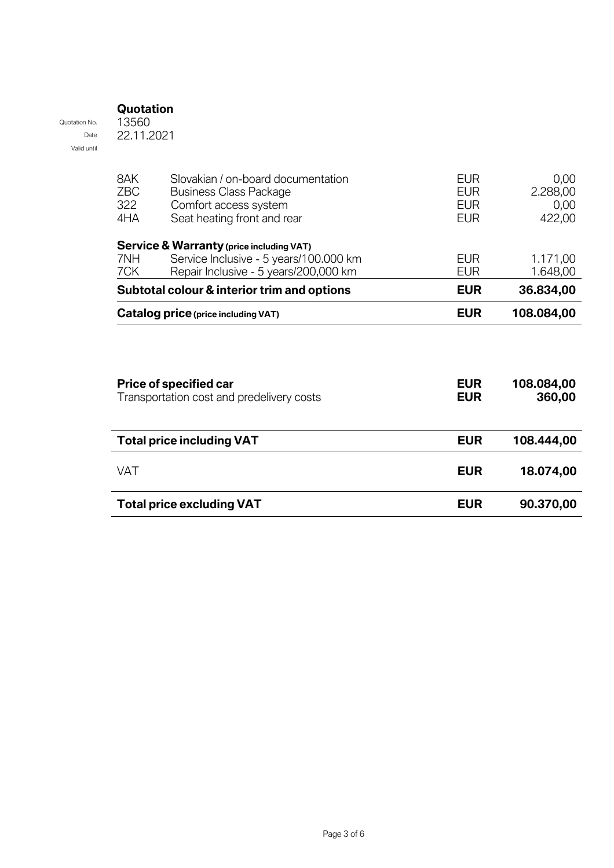### **Quotation**

Quotation No. Date Valid until 13560 22.11.2021

| 8AK<br><b>ZBC</b><br>322<br>4HA | Slovakian / on-board documentation<br><b>Business Class Package</b><br>Comfort access system<br>Seat heating front and rear | <b>EUR</b><br><b>EUR</b><br><b>EUR</b><br><b>EUR</b> | 0,00<br>2.288,00<br>0,00<br>422,00 |
|---------------------------------|-----------------------------------------------------------------------------------------------------------------------------|------------------------------------------------------|------------------------------------|
|                                 | Service & Warranty (price including VAT)                                                                                    |                                                      |                                    |
| 7NH<br>7CK                      | Service Inclusive - 5 years/100.000 km<br>Repair Inclusive - 5 years/200,000 km                                             | <b>EUR</b><br><b>EUR</b>                             | 1.171,00<br>1.648,00               |
|                                 | Subtotal colour & interior trim and options                                                                                 | <b>EUR</b>                                           | 36.834,00                          |
|                                 | Catalog price (price including VAT)                                                                                         | <b>EUR</b>                                           | 108.084,00                         |
|                                 |                                                                                                                             |                                                      |                                    |
|                                 | <b>Price of specified car</b><br>Transportation cost and predelivery costs                                                  | <b>EUR</b><br><b>EUR</b>                             | 108.084,00<br>360,00               |
|                                 | <b>Total price including VAT</b>                                                                                            | <b>EUR</b>                                           | 108.444,00                         |
| <b>VAT</b>                      |                                                                                                                             | <b>EUR</b>                                           | 18.074,00                          |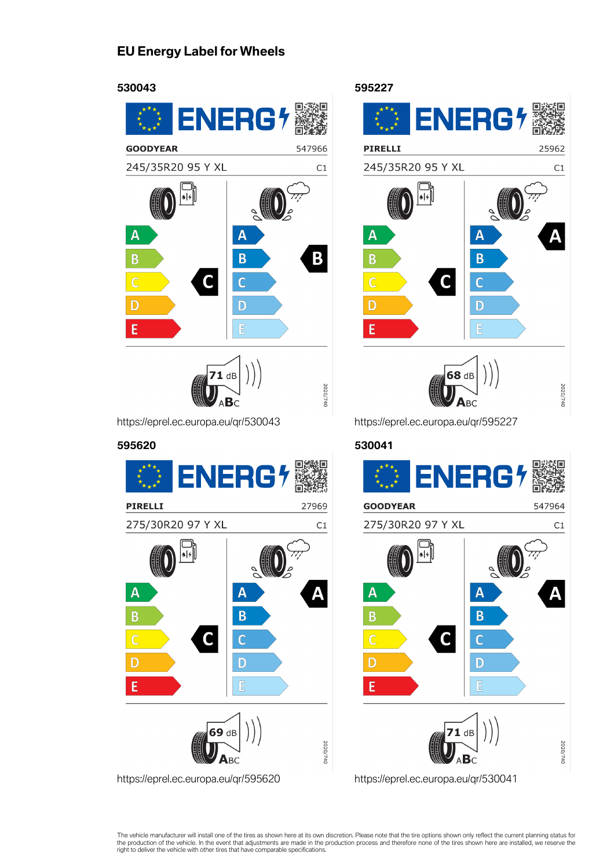## **EU Energy Label for Wheels**



https://eprel.ec.europa.eu/qr/530043

#### **595620**



**595227** ENERG<sup>1</sup> **PIRELLI** 25962 245/35R20 95 Y XL  $C1$  $\overline{\mathsf{A}}$  $\overline{\mathsf{A}}$ B B  $\mathsf{C}$  $\overline{C}$  $\overline{D}$ D F F 68 dB 2020/740  $\mathbf{A}_{\mathsf{B}\mathsf{C}}$ 

https://eprel.ec.europa.eu/qr/595227

### **530041**



The vehicle manufacturer will install one of the tires as shown here at its own discretion. Please note that the tire options shown only reflect the current planning status for<br>the production of the vehicle. In the event t right to deliver the vehicle with other tires that have comparable specifications.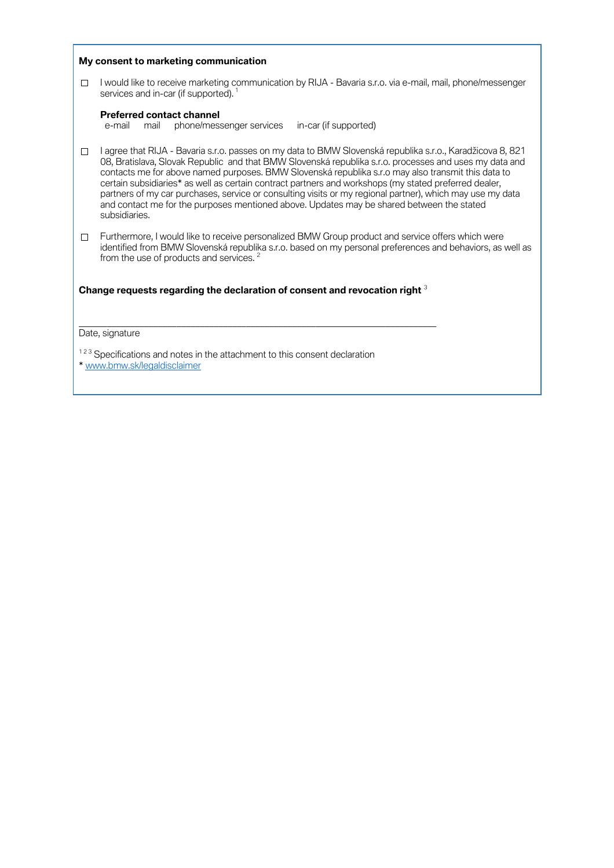|        | My consent to marketing communication                                                                                                                                                                                                                                                                                                                                                                                                                                                                                                                                                                                                                          |
|--------|----------------------------------------------------------------------------------------------------------------------------------------------------------------------------------------------------------------------------------------------------------------------------------------------------------------------------------------------------------------------------------------------------------------------------------------------------------------------------------------------------------------------------------------------------------------------------------------------------------------------------------------------------------------|
| П      | I would like to receive marketing communication by RIJA - Bavaria s.r.o. via e-mail, mail, phone/messenger<br>services and in-car (if supported). <sup>1</sup>                                                                                                                                                                                                                                                                                                                                                                                                                                                                                                 |
|        | <b>Preferred contact channel</b><br>phone/messenger services<br>in-car (if supported)<br>e-mail<br>mail                                                                                                                                                                                                                                                                                                                                                                                                                                                                                                                                                        |
| П      | I agree that RIJA - Bavaria s.r.o. passes on my data to BMW Slovenská republika s.r.o., Karadžicova 8, 821<br>08, Bratislava, Slovak Republic and that BMW Slovenská republika s.r.o. processes and uses my data and<br>contacts me for above named purposes. BMW Slovenská republika s.r.o may also transmit this data to<br>certain subsidiaries* as well as certain contract partners and workshops (my stated preferred dealer,<br>partners of my car purchases, service or consulting visits or my regional partner), which may use my data<br>and contact me for the purposes mentioned above. Updates may be shared between the stated<br>subsidiaries. |
| $\Box$ | Furthermore, I would like to receive personalized BMW Group product and service offers which were<br>identified from BMW Slovenská republika s.r.o. based on my personal preferences and behaviors, as well as<br>from the use of products and services. <sup>2</sup>                                                                                                                                                                                                                                                                                                                                                                                          |
|        | Change requests regarding the declaration of consent and revocation right 3                                                                                                                                                                                                                                                                                                                                                                                                                                                                                                                                                                                    |
|        | Date, signature                                                                                                                                                                                                                                                                                                                                                                                                                                                                                                                                                                                                                                                |
|        | <sup>123</sup> Specifications and notes in the attachment to this consent declaration<br>* www.bmw.sk/legaldisclaimer                                                                                                                                                                                                                                                                                                                                                                                                                                                                                                                                          |